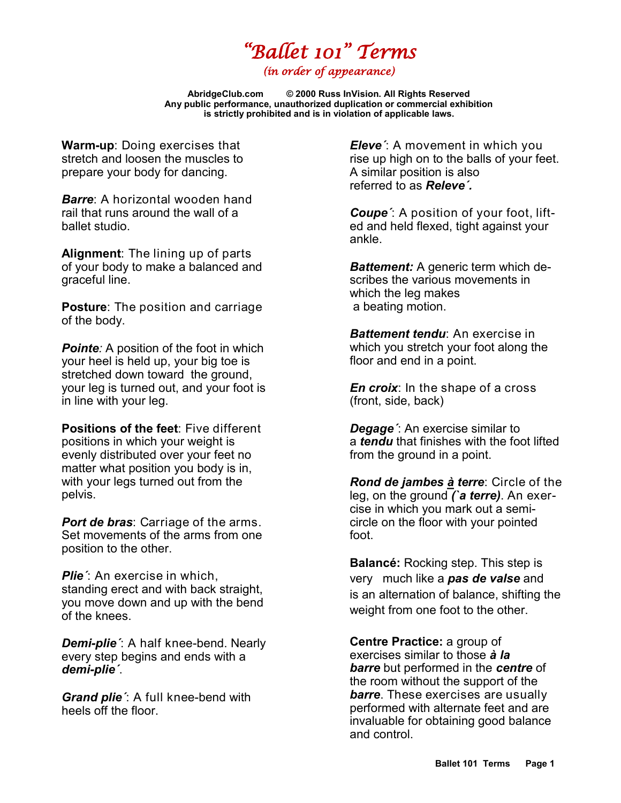## *"Ballet 101" Terms*

*(in order of appearance)* 

**AbridgeClub.com © 2000 Russ InVision. All Rights Reserved Any public performance, unauthorized duplication or commercial exhibition is strictly prohibited and is in violation of applicable laws.**

**Warm-up**: Doing exercises that stretch and loosen the muscles to prepare your body for dancing.

*Barre*: A horizontal wooden hand rail that runs around the wall of a ballet studio.

**Alignment**: The lining up of parts of your body to make a balanced and graceful line.

**Posture**: The position and carriage of the body.

**Pointe**: A position of the foot in which your heel is held up, your big toe is stretched down toward the ground, your leg is turned out, and your foot is in line with your leg.

**Positions of the feet**: Five different positions in which your weight is evenly distributed over your feet no matter what position you body is in, with your legs turned out from the pelvis.

*Port de bras*: Carriage of the arms. Set movements of the arms from one position to the other.

*Plie´*: An exercise in which, standing erect and with back straight, you move down and up with the bend of the knees.

*Demi-plie´*: A half knee-bend. Nearly every step begins and ends with a *demi-plie´*.

*Grand plie´*: A full knee-bend with heels off the floor.

*Eleve´*: A movement in which you rise up high on to the balls of your feet. A similar position is also referred to as *Releve´.*

*Coupe´*: A position of your foot, lifted and held flexed, tight against your ankle.

*Battement:* A generic term which describes the various movements in which the leg makes a beating motion.

*Battement tendu*: An exercise in which you stretch your foot along the floor and end in a point.

*En croix*: In the shape of a cross (front, side, back)

*Degage´*: An exercise similar to a *tendu* that finishes with the foot lifted from the ground in a point.

*Rond de jambes [à](http://www.google.com/url?sa=t&rct=j&q=&esrc=s&source=web&cd=1&ved=0CB4QFjAA&url=http%3A%2F%2Fwww.abt.org%2Feducation%2Fdictionary%2Fterms%2Frond_jambe_terre.html&ei=bK4XVeSkBtXpoAS7uoGABw&usg=AFQjCNHXn8glWrTjf3PpvcwGKatzcXxysg&bvm=bv.89381419,d.cGU) terre*: Circle of the leg, on the ground *(`a terre)*. An exercise in which you mark out a semicircle on the floor with your pointed foot.

**[Balancé:](http://dancers.invisionzone.com/index.php?showtopic=50338)** Rocking step. This step is very much like a *pas de valse* and is an alternation of balance, shifting the weight from one foot to the other.

**Centre Practice:** a group of exercises similar to those *à la barre* but performed in the *centre* of the room without the support of the *barre*. These exercises are usually performed with alternate feet and are invaluable for obtaining good balance and control.